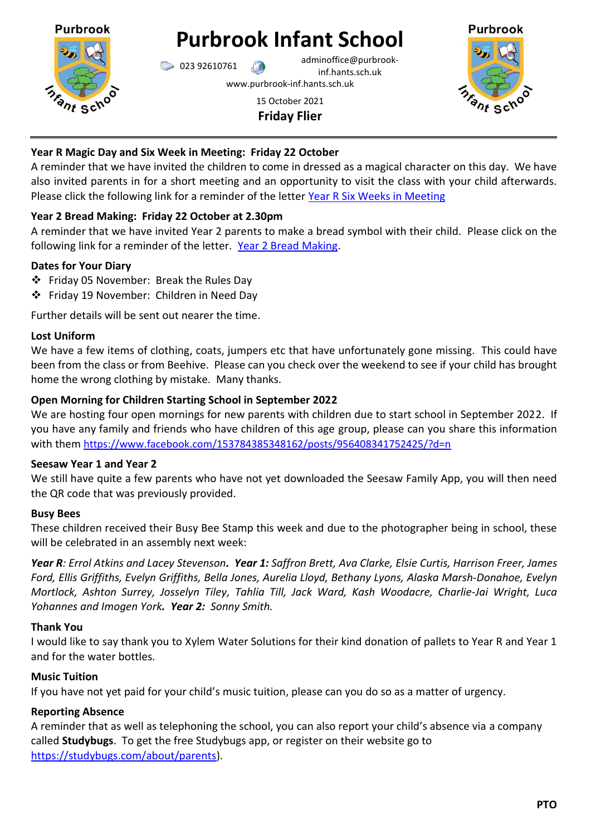

# **Purbrook Infant School**

023 92610761 adminoffice@purbrookinf.hants.sch.uk

www.purbrook-inf.hants.sch.uk

# 15 October 2021 **Friday Flier**



# **Year R Magic Day and Six Week in Meeting: Friday 22 October**

A reminder that we have invited the children to come in dressed as a magical character on this day. We have also invited parents in for a short meeting and an opportunity to visit the class with your child afterwards. Please click the following link for a reminder of the letter [Year R Six Weeks in Meeting](https://www.purbrook-inf.hants.sch.uk/wp-content/uploads/2021/10/05-10-2021-let-toYear-R-re-Six-week-in-Meeting-and-Magic-Day.pdf)

# **Year 2 Bread Making: Friday 22 October at 2.30pm**

A reminder that we have invited Year 2 parents to make a bread symbol with their child. Please click on the following link for a reminder of the letter. [Year 2 Bread Making.](https://www.purbrook-inf.hants.sch.uk/wp-content/uploads/2021/10/05-10-2021-Letter-re-making-bread.pdf)

# **Dates for Your Diary**

- Friday 05 November: Break the Rules Day
- Friday 19 November: Children in Need Day

Further details will be sent out nearer the time.

## **Lost Uniform**

We have a few items of clothing, coats, jumpers etc that have unfortunately gone missing. This could have been from the class or from Beehive. Please can you check over the weekend to see if your child has brought home the wrong clothing by mistake. Many thanks.

# **Open Morning for Children Starting School in September 2022**

We are hosting four open mornings for new parents with children due to start school in September 2022. If you have any family and friends who have children of this age group, please can you share this information with them <https://www.facebook.com/153784385348162/posts/956408341752425/?d=n>

## **Seesaw Year 1 and Year 2**

We still have quite a few parents who have not yet downloaded the Seesaw Family App, you will then need the QR code that was previously provided.

# **Busy Bees**

These children received their Busy Bee Stamp this week and due to the photographer being in school, these will be celebrated in an assembly next week:

*Year R: Errol Atkins and Lacey Stevenson. Year 1: Saffron Brett, Ava Clarke, Elsie Curtis, Harrison Freer, James Ford, Ellis Griffiths, Evelyn Griffiths, Bella Jones, Aurelia Lloyd, Bethany Lyons, Alaska Marsh-Donahoe, Evelyn Mortlock, Ashton Surrey, Josselyn Tiley, Tahlia Till, Jack Ward, Kash Woodacre, Charlie-Jai Wright, Luca Yohannes and Imogen York. Year 2: Sonny Smith.*

## **Thank You**

I would like to say thank you to Xylem Water Solutions for their kind donation of pallets to Year R and Year 1 and for the water bottles.

# **Music Tuition**

If you have not yet paid for your child's music tuition, please can you do so as a matter of urgency.

## **Reporting Absence**

A reminder that as well as telephoning the school, you can also report your child's absence via a company called **Studybugs**. To get the free Studybugs app, or register on their website go to [https://studybugs.com/about/parents\)](https://studybugs.com/about/parents).